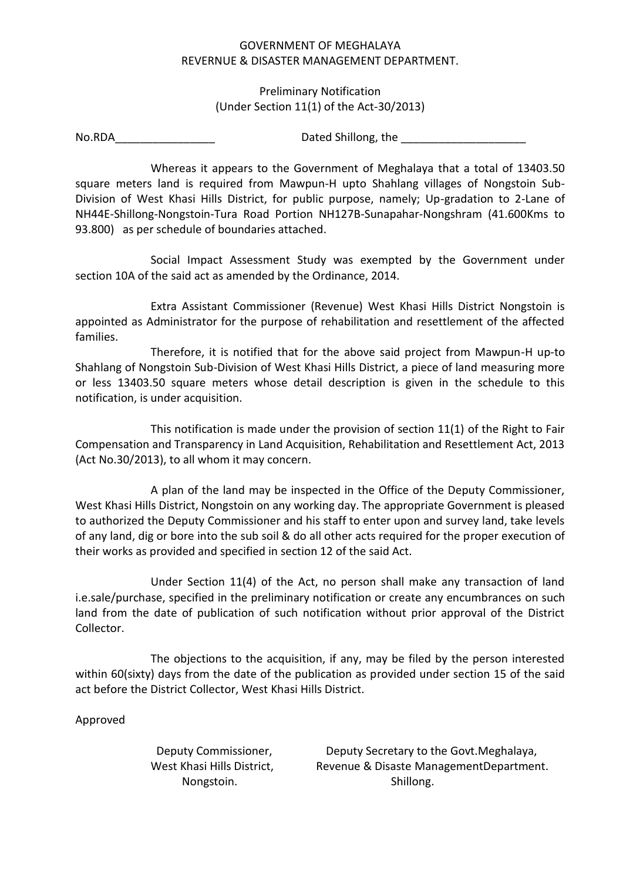## GOVERNMENT OF MEGHALAYA REVERNUE & DISASTER MANAGEMENT DEPARTMENT.

## Preliminary Notification (Under Section 11(1) of the Act-30/2013)

No.RDA and Dated Shillong, the 2008 and 2012 and 2012 and 2012 and 2012 and 2012 and 2012 and 2013 and 2013 and 2013

Whereas it appears to the Government of Meghalaya that a total of 13403.50 square meters land is required from Mawpun-H upto Shahlang villages of Nongstoin Sub-Division of West Khasi Hills District, for public purpose, namely; Up-gradation to 2-Lane of NH44E-Shillong-Nongstoin-Tura Road Portion NH127B-Sunapahar-Nongshram (41.600Kms to 93.800) as per schedule of boundaries attached.

Social Impact Assessment Study was exempted by the Government under section 10A of the said act as amended by the Ordinance, 2014.

Extra Assistant Commissioner (Revenue) West Khasi Hills District Nongstoin is appointed as Administrator for the purpose of rehabilitation and resettlement of the affected families.

Therefore, it is notified that for the above said project from Mawpun-H up-to Shahlang of Nongstoin Sub-Division of West Khasi Hills District, a piece of land measuring more or less 13403.50 square meters whose detail description is given in the schedule to this notification, is under acquisition.

This notification is made under the provision of section 11(1) of the Right to Fair Compensation and Transparency in Land Acquisition, Rehabilitation and Resettlement Act, 2013 (Act No.30/2013), to all whom it may concern.

A plan of the land may be inspected in the Office of the Deputy Commissioner, West Khasi Hills District, Nongstoin on any working day. The appropriate Government is pleased to authorized the Deputy Commissioner and his staff to enter upon and survey land, take levels of any land, dig or bore into the sub soil & do all other acts required for the proper execution of their works as provided and specified in section 12 of the said Act.

Under Section 11(4) of the Act, no person shall make any transaction of land i.e.sale/purchase, specified in the preliminary notification or create any encumbrances on such land from the date of publication of such notification without prior approval of the District Collector.

The objections to the acquisition, if any, may be filed by the person interested within 60(sixty) days from the date of the publication as provided under section 15 of the said act before the District Collector, West Khasi Hills District.

## Approved

 Deputy Commissioner, Deputy Secretary to the Govt.Meghalaya, West Khasi Hills District, Revenue & Disaste ManagementDepartment. Nongstoin. Shillong.